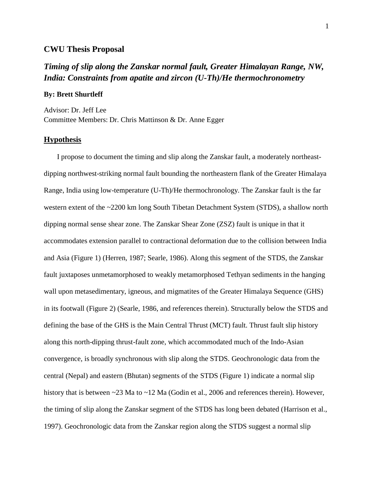#### **CWU Thesis Proposal**

# *Timing of slip along the Zanskar normal fault, Greater Himalayan Range, NW, India: Constraints from apatite and zircon (U-Th)/He thermochronometry*

#### **By: Brett Shurtleff**

Advisor: Dr. Jeff Lee Committee Members: Dr. Chris Mattinson & Dr. Anne Egger

#### **Hypothesis**

I propose to document the timing and slip along the Zanskar fault, a moderately northeastdipping northwest-striking normal fault bounding the northeastern flank of the Greater Himalaya Range, India using low-temperature (U-Th)/He thermochronology. The Zanskar fault is the far western extent of the ~2200 km long South Tibetan Detachment System (STDS), a shallow north dipping normal sense shear zone. The Zanskar Shear Zone (ZSZ) fault is unique in that it accommodates extension parallel to contractional deformation due to the collision between India and Asia (Figure 1) (Herren, 1987; Searle, 1986). Along this segment of the STDS, the Zanskar fault juxtaposes unmetamorphosed to weakly metamorphosed Tethyan sediments in the hanging wall upon metasedimentary, igneous, and migmatites of the Greater Himalaya Sequence (GHS) in its footwall (Figure 2) (Searle, 1986, and references therein). Structurally below the STDS and defining the base of the GHS is the Main Central Thrust (MCT) fault. Thrust fault slip history along this north-dipping thrust-fault zone, which accommodated much of the Indo-Asian convergence, is broadly synchronous with slip along the STDS. Geochronologic data from the central (Nepal) and eastern (Bhutan) segments of the STDS (Figure 1) indicate a normal slip history that is between ~23 Ma to ~12 Ma (Godin et al., 2006 and references therein). However, the timing of slip along the Zanskar segment of the STDS has long been debated (Harrison et al., 1997). Geochronologic data from the Zanskar region along the STDS suggest a normal slip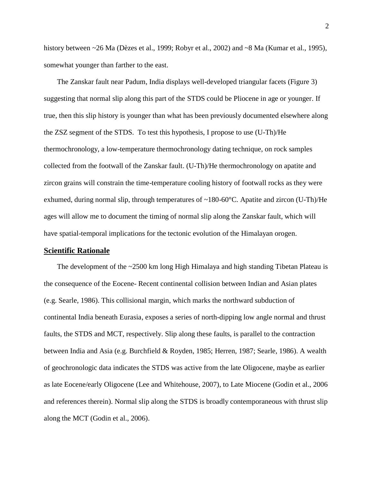history between ~26 Ma (Dèzes et al., 1999; Robyr et al., 2002) and ~8 Ma (Kumar et al., 1995), somewhat younger than farther to the east.

The Zanskar fault near Padum, India displays well-developed triangular facets (Figure 3) suggesting that normal slip along this part of the STDS could be Pliocene in age or younger. If true, then this slip history is younger than what has been previously documented elsewhere along the ZSZ segment of the STDS. To test this hypothesis, I propose to use (U-Th)/He thermochronology, a low-temperature thermochronology dating technique, on rock samples collected from the footwall of the Zanskar fault. (U-Th)/He thermochronology on apatite and zircon grains will constrain the time-temperature cooling history of footwall rocks as they were exhumed, during normal slip, through temperatures of  $\sim 180{\text{-}}60^{\circ}$ C. Apatite and zircon (U-Th)/He ages will allow me to document the timing of normal slip along the Zanskar fault, which will have spatial-temporal implications for the tectonic evolution of the Himalayan orogen.

#### **Scientific Rationale**

The development of the  $\sim$ 2500 km long High Himalaya and high standing Tibetan Plateau is the consequence of the Eocene- Recent continental collision between Indian and Asian plates (e.g. Searle, 1986). This collisional margin, which marks the northward subduction of continental India beneath Eurasia, exposes a series of north-dipping low angle normal and thrust faults, the STDS and MCT, respectively. Slip along these faults, is parallel to the contraction between India and Asia (e.g. Burchfield & Royden, 1985; Herren, 1987; Searle, 1986). A wealth of geochronologic data indicates the STDS was active from the late Oligocene, maybe as earlier as late Eocene/early Oligocene (Lee and Whitehouse, 2007), to Late Miocene (Godin et al., 2006 and references therein). Normal slip along the STDS is broadly contemporaneous with thrust slip along the MCT (Godin et al., 2006).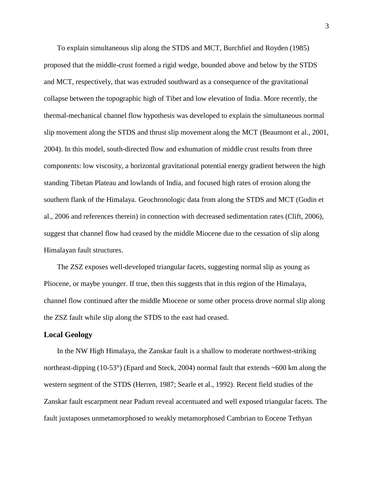To explain simultaneous slip along the STDS and MCT, Burchfiel and Royden (1985) proposed that the middle-crust formed a rigid wedge, bounded above and below by the STDS and MCT, respectively, that was extruded southward as a consequence of the gravitational collapse between the topographic high of Tibet and low elevation of India. More recently, the thermal-mechanical channel flow hypothesis was developed to explain the simultaneous normal slip movement along the STDS and thrust slip movement along the MCT (Beaumont et al., 2001, 2004). In this model, south-directed flow and exhumation of middle crust results from three components: low viscosity, a horizontal gravitational potential energy gradient between the high standing Tibetan Plateau and lowlands of India, and focused high rates of erosion along the southern flank of the Himalaya. Geochronologic data from along the STDS and MCT (Godin et al., 2006 and references therein) in connection with decreased sedimentation rates (Clift, 2006), suggest that channel flow had ceased by the middle Miocene due to the cessation of slip along Himalayan fault structures.

The ZSZ exposes well-developed triangular facets, suggesting normal slip as young as Pliocene, or maybe younger. If true, then this suggests that in this region of the Himalaya, channel flow continued after the middle Miocene or some other process drove normal slip along the ZSZ fault while slip along the STDS to the east had ceased.

#### **Local Geology**

In the NW High Himalaya, the Zanskar fault is a shallow to moderate northwest-striking northeast-dipping (10-53°) (Epard and Steck, 2004) normal fault that extends ~600 km along the western segment of the STDS (Herren, 1987; Searle et al., 1992). Recent field studies of the Zanskar fault escarpment near Padum reveal accentuated and well exposed triangular facets. The fault juxtaposes unmetamorphosed to weakly metamorphosed Cambrian to Eocene Tethyan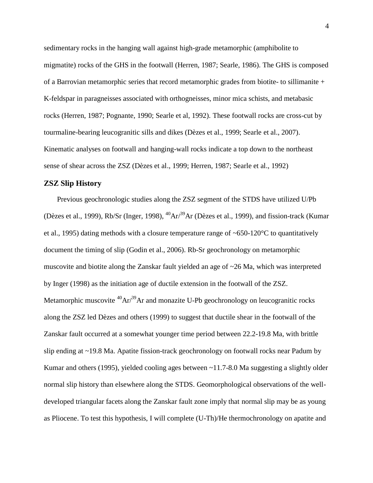sedimentary rocks in the hanging wall against high-grade metamorphic (amphibolite to migmatite) rocks of the GHS in the footwall (Herren, 1987; Searle, 1986). The GHS is composed of a Barrovian metamorphic series that record metamorphic grades from biotite- to sillimanite + K-feldspar in paragneisses associated with orthogneisses, minor mica schists, and metabasic rocks (Herren, 1987; Pognante, 1990; Searle et al, 1992). These footwall rocks are cross-cut by tourmaline-bearing leucogranitic sills and dikes (Dèzes et al., 1999; Searle et al., 2007). Kinematic analyses on footwall and hanging-wall rocks indicate a top down to the northeast sense of shear across the ZSZ (Dèzes et al., 1999; Herren, 1987; Searle et al., 1992)

#### **ZSZ Slip History**

Previous geochronologic studies along the ZSZ segment of the STDS have utilized U/Pb (Dèzes et al., 1999), Rb/Sr (Inger, 1998),  ${}^{40}Ar/{}^{39}Ar$  (Dèzes et al., 1999), and fission-track (Kumar et al., 1995) dating methods with a closure temperature range of  $\sim 650{\text -}120^{\circ}\text{C}$  to quantitatively document the timing of slip (Godin et al., 2006). Rb-Sr geochronology on metamorphic muscovite and biotite along the Zanskar fault yielded an age of ~26 Ma, which was interpreted by Inger (1998) as the initiation age of ductile extension in the footwall of the ZSZ. Metamorphic muscovite  ${}^{40}Ar^{39}Ar$  and monazite U-Pb geochronology on leucogranitic rocks along the ZSZ led Dèzes and others (1999) to suggest that ductile shear in the footwall of the Zanskar fault occurred at a somewhat younger time period between 22.2-19.8 Ma, with brittle slip ending at ~19.8 Ma. Apatite fission-track geochronology on footwall rocks near Padum by Kumar and others (1995), yielded cooling ages between ~11.7-8.0 Ma suggesting a slightly older normal slip history than elsewhere along the STDS. Geomorphological observations of the welldeveloped triangular facets along the Zanskar fault zone imply that normal slip may be as young as Pliocene. To test this hypothesis, I will complete (U-Th)/He thermochronology on apatite and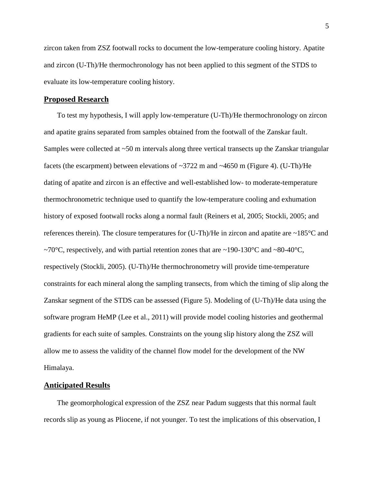zircon taken from ZSZ footwall rocks to document the low-temperature cooling history. Apatite and zircon (U-Th)/He thermochronology has not been applied to this segment of the STDS to evaluate its low-temperature cooling history.

#### **Proposed Research**

To test my hypothesis, I will apply low-temperature (U-Th)/He thermochronology on zircon and apatite grains separated from samples obtained from the footwall of the Zanskar fault. Samples were collected at ~50 m intervals along three vertical transects up the Zanskar triangular facets (the escarpment) between elevations of  $\sim$ 3722 m and  $\sim$ 4650 m (Figure 4). (U-Th)/He dating of apatite and zircon is an effective and well-established low- to moderate-temperature thermochronometric technique used to quantify the low-temperature cooling and exhumation history of exposed footwall rocks along a normal fault (Reiners et al, 2005; Stockli, 2005; and references therein). The closure temperatures for  $(U-Th)/He$  in zircon and apatite are  $\sim 185^{\circ}C$  and ~70 $\degree$ C, respectively, and with partial retention zones that are ~190-130 $\degree$ C and ~80-40 $\degree$ C, respectively (Stockli, 2005). (U-Th)/He thermochronometry will provide time-temperature constraints for each mineral along the sampling transects, from which the timing of slip along the Zanskar segment of the STDS can be assessed (Figure 5). Modeling of (U-Th)/He data using the software program HeMP (Lee et al., 2011) will provide model cooling histories and geothermal gradients for each suite of samples. Constraints on the young slip history along the ZSZ will allow me to assess the validity of the channel flow model for the development of the NW Himalaya.

#### **Anticipated Results**

The geomorphological expression of the ZSZ near Padum suggests that this normal fault records slip as young as Pliocene, if not younger. To test the implications of this observation, I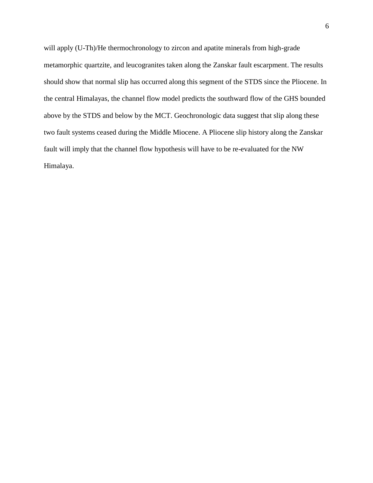will apply (U-Th)/He thermochronology to zircon and apatite minerals from high-grade metamorphic quartzite, and leucogranites taken along the Zanskar fault escarpment. The results should show that normal slip has occurred along this segment of the STDS since the Pliocene. In the central Himalayas, the channel flow model predicts the southward flow of the GHS bounded above by the STDS and below by the MCT. Geochronologic data suggest that slip along these two fault systems ceased during the Middle Miocene. A Pliocene slip history along the Zanskar fault will imply that the channel flow hypothesis will have to be re-evaluated for the NW Himalaya.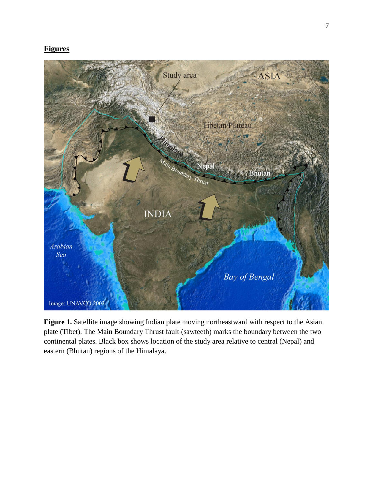## **Figures**



Figure 1. Satellite image showing Indian plate moving northeastward with respect to the Asian plate (Tibet). The Main Boundary Thrust fault (sawteeth) marks the boundary between the two continental plates. Black box shows location of the study area relative to central (Nepal) and eastern (Bhutan) regions of the Himalaya.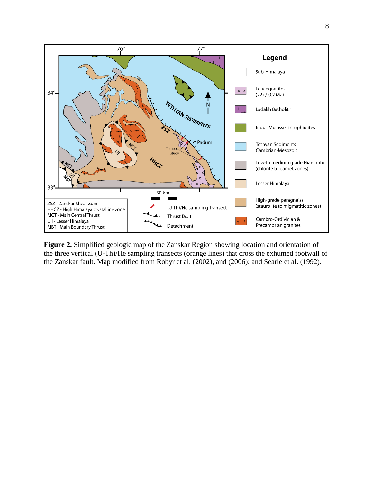

**Figure 2.** Simplified geologic map of the Zanskar Region showing location and orientation of the three vertical (U-Th)/He sampling transects (orange lines) that cross the exhumed footwall of the Zanskar fault. Map modified from Robyr et al. (2002), and (2006); and Searle et al. (1992).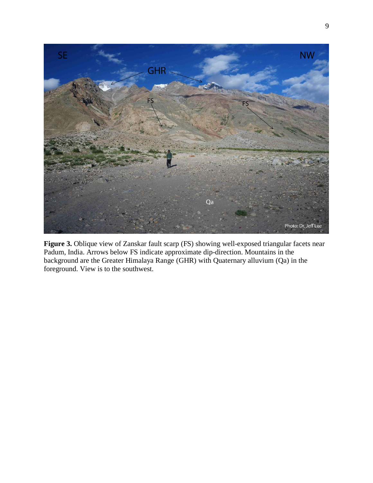

**Figure 3.** Oblique view of Zanskar fault scarp (FS) showing well-exposed triangular facets near Padum, India. Arrows below FS indicate approximate dip-direction. Mountains in the background are the Greater Himalaya Range (GHR) with Quaternary alluvium (Qa) in the foreground. View is to the southwest.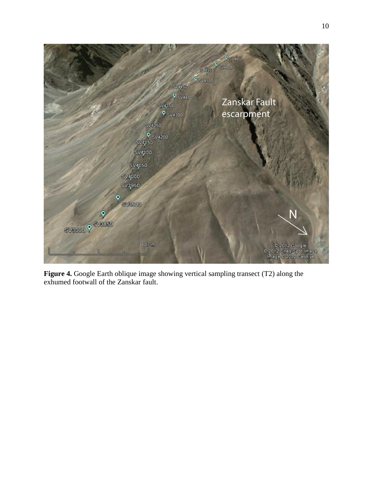

**Figure 4.** Google Earth oblique image showing vertical sampling transect (T2) along the exhumed footwall of the Zanskar fault.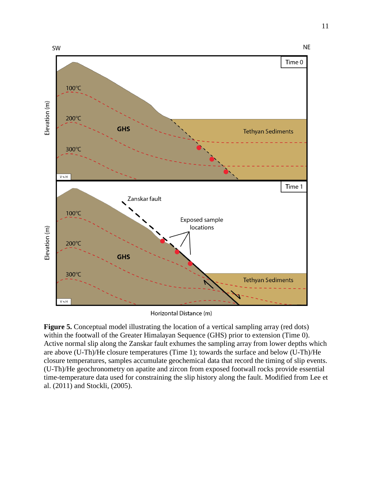

Horizontal Distance (m)

**Figure 5.** Conceptual model illustrating the location of a vertical sampling array (red dots) within the footwall of the Greater Himalayan Sequence (GHS) prior to extension (Time 0). Active normal slip along the Zanskar fault exhumes the sampling array from lower depths which are above (U-Th)/He closure temperatures (Time 1); towards the surface and below (U-Th)/He closure temperatures, samples accumulate geochemical data that record the timing of slip events. (U-Th)/He geochronometry on apatite and zircon from exposed footwall rocks provide essential time-temperature data used for constraining the slip history along the fault. Modified from Lee et al. (2011) and Stockli, (2005).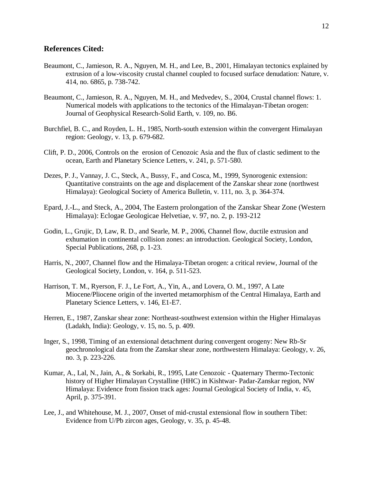### **References Cited:**

- Beaumont, C., Jamieson, R. A., Nguyen, M. H., and Lee, B., 2001, Himalayan tectonics explained by extrusion of a low-viscosity crustal channel coupled to focused surface denudation: Nature, v. 414, no. 6865, p. 738-742.
- Beaumont, C., Jamieson, R. A., Nguyen, M. H., and Medvedev, S., 2004, Crustal channel flows: 1. Numerical models with applications to the tectonics of the Himalayan-Tibetan orogen: Journal of Geophysical Research-Solid Earth, v. 109, no. B6.
- Burchfiel, B. C., and Royden, L. H., 1985, North-south extension within the convergent Himalayan region: Geology, v. 13, p. 679-682.
- Clift, P. D., 2006, Controls on the erosion of Cenozoic Asia and the flux of clastic sediment to the ocean, Earth and Planetary Science Letters, v. 241, p. 571-580.
- Dezes, P. J., Vannay, J. C., Steck, A., Bussy, F., and Cosca, M., 1999, Synorogenic extension: Quantitative constraints on the age and displacement of the Zanskar shear zone (northwest Himalaya): Geological Society of America Bulletin, v. 111, no. 3, p. 364-374.
- Epard, J.-L., and Steck, A., 2004, The Eastern prolongation of the Zanskar Shear Zone (Western Himalaya): Eclogae Geologicae Helvetiae, v. 97, no. 2, p. 193-212
- Godin, L., Grujic, D, Law, R. D., and Searle, M. P., 2006, Channel flow, ductile extrusion and exhumation in continental collision zones: an introduction. Geological Society, London, Special Publications, 268, p. 1-23.
- Harris, N., 2007, Channel flow and the Himalaya-Tibetan orogen: a critical review, Journal of the Geological Society, London, v. 164, p. 511-523.
- Harrison, T. M., Ryerson, F. J., Le Fort, A., Yin, A., and Lovera, O. M., 1997, A Late Miocene/Pliocene origin of the inverted metamorphism of the Central Himalaya, Earth and Planetary Science Letters, v. 146, E1-E7.
- Herren, E., 1987, Zanskar shear zone: Northeast-southwest extension within the Higher Himalayas (Ladakh, India): Geology, v. 15, no. 5, p. 409.
- Inger, S., 1998, Timing of an extensional detachment during convergent orogeny: New Rb-Sr geochronological data from the Zanskar shear zone, northwestern Himalaya: Geology, v. 26, no. 3, p. 223-226.
- Kumar, A., Lal, N., Jain, A., & Sorkabi, R., 1995, Late Cenozoic Quaternary Thermo-Tectonic history of Higher Himalayan Crystalline (HHC) in Kishtwar- Padar-Zanskar region, NW Himalaya: Evidence from fission track ages: Journal Geological Society of India, v. 45, April, p. 375-391.
- Lee, J., and Whitehouse, M. J., 2007, Onset of mid-crustal extensional flow in southern Tibet: Evidence from U/Pb zircon ages, Geology, v. 35, p. 45-48.